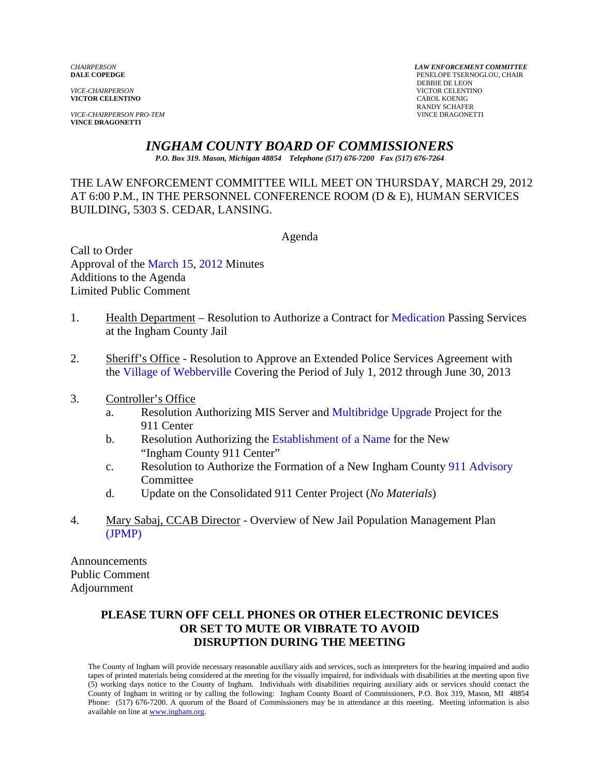**VICTOR CELENTINO** 

**VICE-CHAIRPERSON PRO-TEM VINCE DRAGONETTI** 

*CHAIRPERSON LAW ENFORCEMENT COMMITTEE* PENELOPE TSERNOGLOU, CHAIR **DEBBIE DE LEON<br>VICE-CHAIRPERSON VICTOR CELENTINO**<br>CAROL KOENIG RANDY SCHAFER<br>VINCE DRAGONETTI

# *INGHAM COUNTY BOARD OF COMMISSIONERS*

*P.O. Box 319. Mason, Michigan 48854 Telephone (517) 676-7200 Fax (517) 676-7264*

## THE LAW ENFORCEMENT COMMITTEE WILL MEET ON THURSDAY, MARCH 29, 2012 AT 6:00 P.M., IN THE PERSONNEL CONFERENCE ROOM (D & E), HUMAN SERVICES BUILDING, 5303 S. CEDAR, LANSING.

Agenda

Call to Order Approval of [the March 15, 2012 Minutes](#page-1-0)  Additions to the Agenda Limited Public Comment

- 1. Health Department Resolution to Authorize a Contrac[t for Medication Passing Serv](#page-6-0)ices at the Ingham County Jail
- 2. [Sheriff's Office Resolution to Appr](#page-8-0)ove an Extended Police Services Agreement with the Village of Webberville Covering the Period of July 1, 2012 through June 30, 2013
- 3. Controller's Office
	- a. Resolution Authorizing MIS Server [and Multibridge Upgrade Project for the](#page-10-0) 911 Center
	- b. Resolution Authorizing t[he Establishment of a Name for the New](#page-12-0)  "Ingham County 911 Center"
	- c. Resolution to Authorize the Formation of a New Ingham Cou[nty 911 Advisory](#page-14-0)  **Committee**
	- d. Update on the Consolidated 911 Center Project (*No Materials*)
- 4. [Mary Sabaj, CCAB Direc](#page-19-0)tor Overview of New Jail Population Management Plan (JPMP)

Announcements Public Comment Adjournment

## **PLEASE TURN OFF CELL PHONES OR OTHER ELECTRONIC DEVICES OR SET TO MUTE OR VIBRATE TO AVOID DISRUPTION DURING THE MEETING**

The County of Ingham will provide necessary reasonable auxiliary aids and services, such as interpreters for the hearing impaired and audio tapes of printed materials being considered at the meeting for the visually impaired, for individuals with disabilities at the meeting upon five (5) working days notice to the County of Ingham. Individuals with disabilities requiring auxiliary aids or services should contact the County of Ingham in writing or by calling the following: Ingham County Board of Commissioners, P.O. Box 319, Mason, MI 48854 Phone: (517) 676-7200. A quorum of the Board of Commissioners may be in attendance at this meeting. Meeting information is also available on line at www.ingham.org.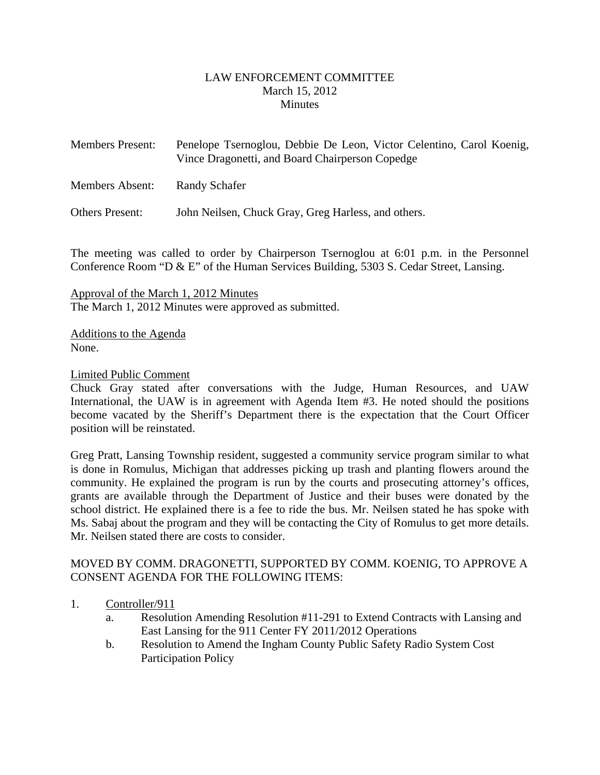#### LAW ENFORCEMENT COMMITTEE March 15, 2012 **Minutes**

<span id="page-1-0"></span>

| <b>Members Present:</b> | Penelope Tsernoglou, Debbie De Leon, Victor Celentino, Carol Koenig,<br>Vince Dragonetti, and Board Chairperson Copedge |
|-------------------------|-------------------------------------------------------------------------------------------------------------------------|
| Members Absent:         | Randy Schafer                                                                                                           |
| <b>Others Present:</b>  | John Neilsen, Chuck Gray, Greg Harless, and others.                                                                     |

The meeting was called to order by Chairperson Tsernoglou at 6:01 p.m. in the Personnel Conference Room "D & E" of the Human Services Building, 5303 S. Cedar Street, Lansing.

Approval of the March 1, 2012 Minutes The March 1, 2012 Minutes were approved as submitted.

Additions to the Agenda None.

#### Limited Public Comment

Chuck Gray stated after conversations with the Judge, Human Resources, and UAW International, the UAW is in agreement with Agenda Item #3. He noted should the positions become vacated by the Sheriff's Department there is the expectation that the Court Officer position will be reinstated.

Greg Pratt, Lansing Township resident, suggested a community service program similar to what is done in Romulus, Michigan that addresses picking up trash and planting flowers around the community. He explained the program is run by the courts and prosecuting attorney's offices, grants are available through the Department of Justice and their buses were donated by the school district. He explained there is a fee to ride the bus. Mr. Neilsen stated he has spoke with Ms. Sabaj about the program and they will be contacting the City of Romulus to get more details. Mr. Neilsen stated there are costs to consider.

#### MOVED BY COMM. DRAGONETTI, SUPPORTED BY COMM. KOENIG, TO APPROVE A CONSENT AGENDA FOR THE FOLLOWING ITEMS:

#### 1. Controller/911

- a. Resolution Amending Resolution #11-291 to Extend Contracts with Lansing and East Lansing for the 911 Center FY 2011/2012 Operations
- b. Resolution to Amend the Ingham County Public Safety Radio System Cost Participation Policy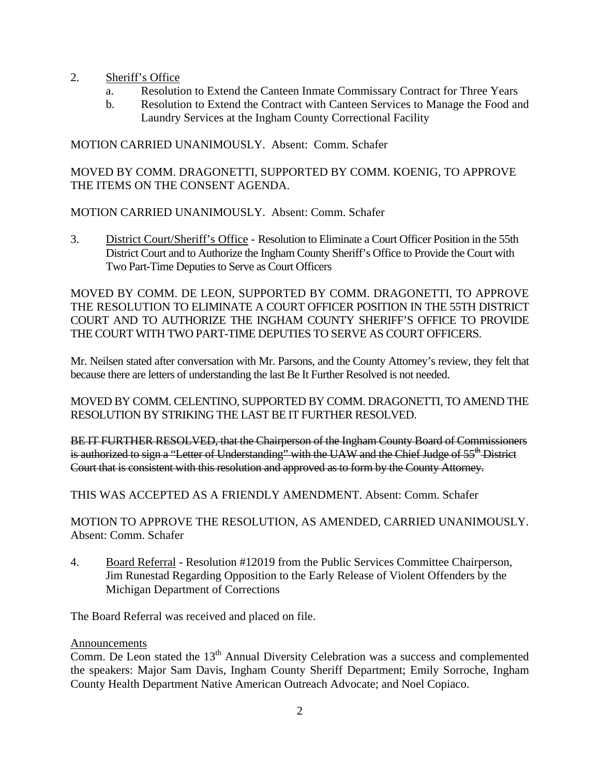- 2. Sheriff's Office
	- a. Resolution to Extend the Canteen Inmate Commissary Contract for Three Years
	- b. Resolution to Extend the Contract with Canteen Services to Manage the Food and Laundry Services at the Ingham County Correctional Facility

MOTION CARRIED UNANIMOUSLY. Absent: Comm. Schafer

MOVED BY COMM. DRAGONETTI, SUPPORTED BY COMM. KOENIG, TO APPROVE THE ITEMS ON THE CONSENT AGENDA.

MOTION CARRIED UNANIMOUSLY. Absent: Comm. Schafer

3. District Court/Sheriff's Office - Resolution to Eliminate a Court Officer Position in the 55th District Court and to Authorize the Ingham County Sheriff's Office to Provide the Court with Two Part-Time Deputies to Serve as Court Officers

MOVED BY COMM. DE LEON, SUPPORTED BY COMM. DRAGONETTI, TO APPROVE THE RESOLUTION TO ELIMINATE A COURT OFFICER POSITION IN THE 55TH DISTRICT COURT AND TO AUTHORIZE THE INGHAM COUNTY SHERIFF'S OFFICE TO PROVIDE THE COURT WITH TWO PART-TIME DEPUTIES TO SERVE AS COURT OFFICERS.

Mr. Neilsen stated after conversation with Mr. Parsons, and the County Attorney's review, they felt that because there are letters of understanding the last Be It Further Resolved is not needed.

MOVED BY COMM. CELENTINO, SUPPORTED BY COMM. DRAGONETTI, TO AMEND THE RESOLUTION BY STRIKING THE LAST BE IT FURTHER RESOLVED.

BE IT FURTHER RESOLVED, that the Chairperson of the Ingham County Board of Commissioners is authorized to sign a "Letter of Understanding" with the UAW and the Chief Judge of 55<sup>th</sup> District Court that is consistent with this resolution and approved as to form by the County Attorney.

THIS WAS ACCEPTED AS A FRIENDLY AMENDMENT. Absent: Comm. Schafer

MOTION TO APPROVE THE RESOLUTION, AS AMENDED, CARRIED UNANIMOUSLY. Absent: Comm. Schafer

4. Board Referral - Resolution #12019 from the Public Services Committee Chairperson, Jim Runestad Regarding Opposition to the Early Release of Violent Offenders by the Michigan Department of Corrections

The Board Referral was received and placed on file.

## Announcements

Comm. De Leon stated the 13<sup>th</sup> Annual Diversity Celebration was a success and complemented the speakers: Major Sam Davis, Ingham County Sheriff Department; Emily Sorroche, Ingham County Health Department Native American Outreach Advocate; and Noel Copiaco.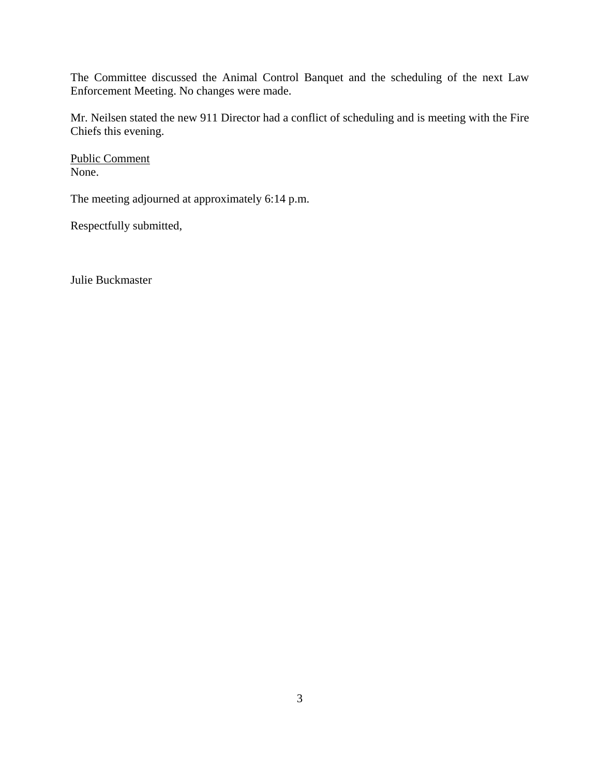The Committee discussed the Animal Control Banquet and the scheduling of the next Law Enforcement Meeting. No changes were made.

Mr. Neilsen stated the new 911 Director had a conflict of scheduling and is meeting with the Fire Chiefs this evening.

Public Comment None.

The meeting adjourned at approximately 6:14 p.m.

Respectfully submitted,

Julie Buckmaster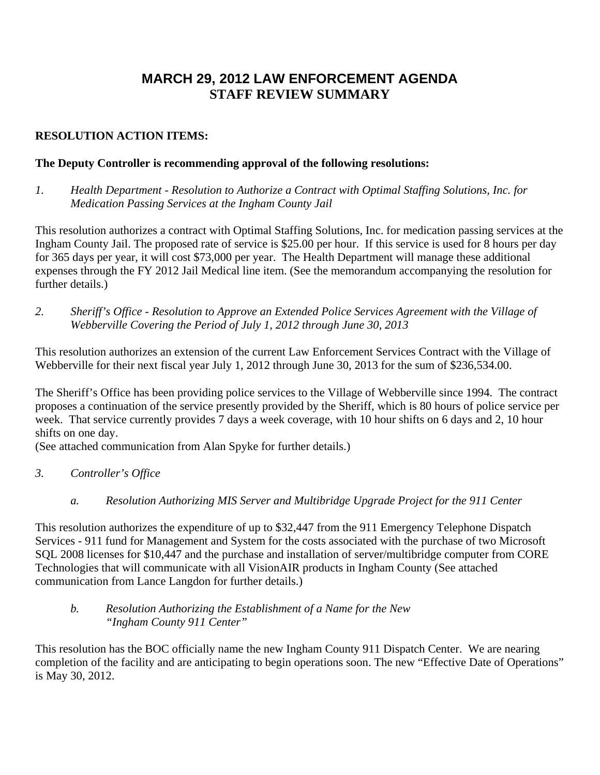## **MARCH 29, 2012 LAW ENFORCEMENT AGENDA STAFF REVIEW SUMMARY**

## **RESOLUTION ACTION ITEMS:**

## **The Deputy Controller is recommending approval of the following resolutions:**

*1. Health Department - Resolution to Authorize a Contract with Optimal Staffing Solutions, Inc. for Medication Passing Services at the Ingham County Jail* 

This resolution authorizes a contract with Optimal Staffing Solutions, Inc. for medication passing services at the Ingham County Jail. The proposed rate of service is \$25.00 per hour. If this service is used for 8 hours per day for 365 days per year, it will cost \$73,000 per year. The Health Department will manage these additional expenses through the FY 2012 Jail Medical line item. (See the memorandum accompanying the resolution for further details.)

*2. Sheriff's Office - Resolution to Approve an Extended Police Services Agreement with the Village of Webberville Covering the Period of July 1, 2012 through June 30, 2013* 

This resolution authorizes an extension of the current Law Enforcement Services Contract with the Village of Webberville for their next fiscal year July 1, 2012 through June 30, 2013 for the sum of \$236,534.00.

The Sheriff's Office has been providing police services to the Village of Webberville since 1994. The contract proposes a continuation of the service presently provided by the Sheriff, which is 80 hours of police service per week. That service currently provides 7 days a week coverage, with 10 hour shifts on 6 days and 2, 10 hour shifts on one day.

(See attached communication from Alan Spyke for further details.)

- *3. Controller's Office* 
	- *a. Resolution Authorizing MIS Server and Multibridge Upgrade Project for the 911 Center*

This resolution authorizes the expenditure of up to \$32,447 from the 911 Emergency Telephone Dispatch Services - 911 fund for Management and System for the costs associated with the purchase of two Microsoft SQL 2008 licenses for \$10,447 and the purchase and installation of server/multibridge computer from CORE Technologies that will communicate with all VisionAIR products in Ingham County (See attached communication from Lance Langdon for further details.)

## *b. Resolution Authorizing the Establishment of a Name for the New "Ingham County 911 Center"*

This resolution has the BOC officially name the new Ingham County 911 Dispatch Center. We are nearing completion of the facility and are anticipating to begin operations soon. The new "Effective Date of Operations" is May 30, 2012.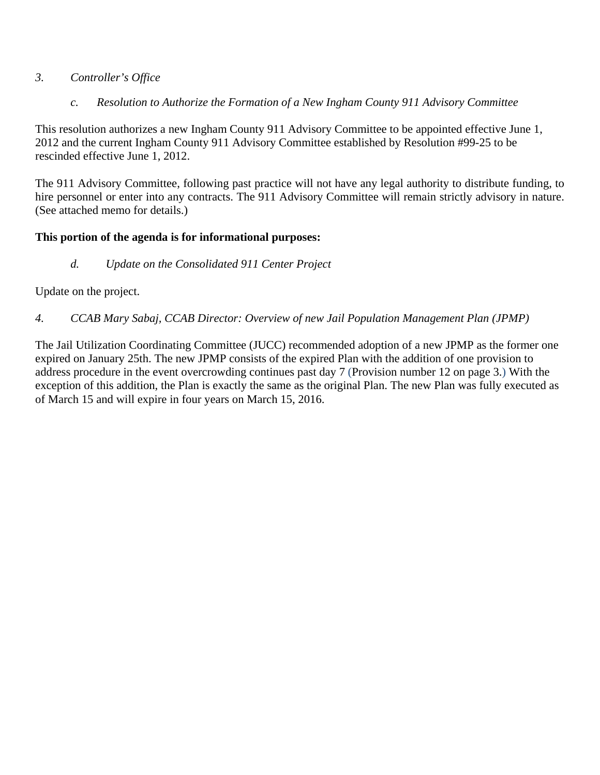## *3. Controller's Office*

 *c. Resolution to Authorize the Formation of a New Ingham County 911 Advisory Committee* 

This resolution authorizes a new Ingham County 911 Advisory Committee to be appointed effective June 1, 2012 and the current Ingham County 911 Advisory Committee established by Resolution #99-25 to be rescinded effective June 1, 2012.

The 911 Advisory Committee, following past practice will not have any legal authority to distribute funding, to hire personnel or enter into any contracts. The 911 Advisory Committee will remain strictly advisory in nature. (See attached memo for details.)

## **This portion of the agenda is for informational purposes:**

*d. Update on the Consolidated 911 Center Project* 

Update on the project.

*4. CCAB Mary Sabaj, CCAB Director: Overview of new Jail Population Management Plan (JPMP)* 

The Jail Utilization Coordinating Committee (JUCC) recommended adoption of a new JPMP as the former one expired on January 25th. The new JPMP consists of the expired Plan with the addition of one provision to address procedure in the event overcrowding continues past day 7 (Provision number 12 on page 3.) With the exception of this addition, the Plan is exactly the same as the original Plan. The new Plan was fully executed as of March 15 and will expire in four years on March 15, 2016.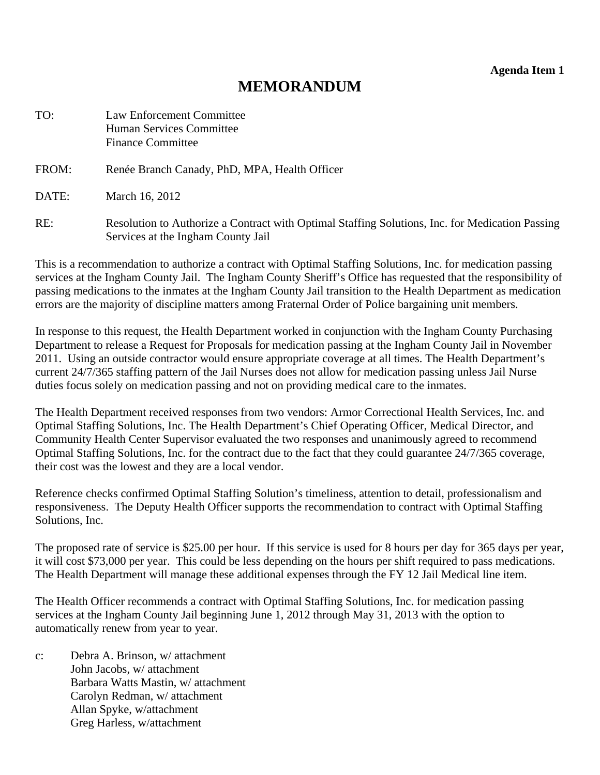**Agenda Item 1** 

## **MEMORANDUM**

<span id="page-6-0"></span>

| TO:   | <b>Law Enforcement Committee</b><br>Human Services Committee<br><b>Finance Committee</b>                                              |
|-------|---------------------------------------------------------------------------------------------------------------------------------------|
| FROM: | Renée Branch Canady, PhD, MPA, Health Officer                                                                                         |
| DATE: | March 16, 2012                                                                                                                        |
| RE:   | Resolution to Authorize a Contract with Optimal Staffing Solutions, Inc. for Medication Passing<br>Services at the Ingham County Jail |

This is a recommendation to authorize a contract with Optimal Staffing Solutions, Inc. for medication passing services at the Ingham County Jail. The Ingham County Sheriff's Office has requested that the responsibility of passing medications to the inmates at the Ingham County Jail transition to the Health Department as medication errors are the majority of discipline matters among Fraternal Order of Police bargaining unit members.

In response to this request, the Health Department worked in conjunction with the Ingham County Purchasing Department to release a Request for Proposals for medication passing at the Ingham County Jail in November 2011. Using an outside contractor would ensure appropriate coverage at all times. The Health Department's current 24/7/365 staffing pattern of the Jail Nurses does not allow for medication passing unless Jail Nurse duties focus solely on medication passing and not on providing medical care to the inmates.

The Health Department received responses from two vendors: Armor Correctional Health Services, Inc. and Optimal Staffing Solutions, Inc. The Health Department's Chief Operating Officer, Medical Director, and Community Health Center Supervisor evaluated the two responses and unanimously agreed to recommend Optimal Staffing Solutions, Inc. for the contract due to the fact that they could guarantee 24/7/365 coverage, their cost was the lowest and they are a local vendor.

Reference checks confirmed Optimal Staffing Solution's timeliness, attention to detail, professionalism and responsiveness. The Deputy Health Officer supports the recommendation to contract with Optimal Staffing Solutions, Inc.

The proposed rate of service is \$25.00 per hour. If this service is used for 8 hours per day for 365 days per year, it will cost \$73,000 per year. This could be less depending on the hours per shift required to pass medications. The Health Department will manage these additional expenses through the FY 12 Jail Medical line item.

The Health Officer recommends a contract with Optimal Staffing Solutions, Inc. for medication passing services at the Ingham County Jail beginning June 1, 2012 through May 31, 2013 with the option to automatically renew from year to year.

c: Debra A. Brinson, w/ attachment John Jacobs, w/ attachment Barbara Watts Mastin, w/ attachment Carolyn Redman, w/ attachment Allan Spyke, w/attachment Greg Harless, w/attachment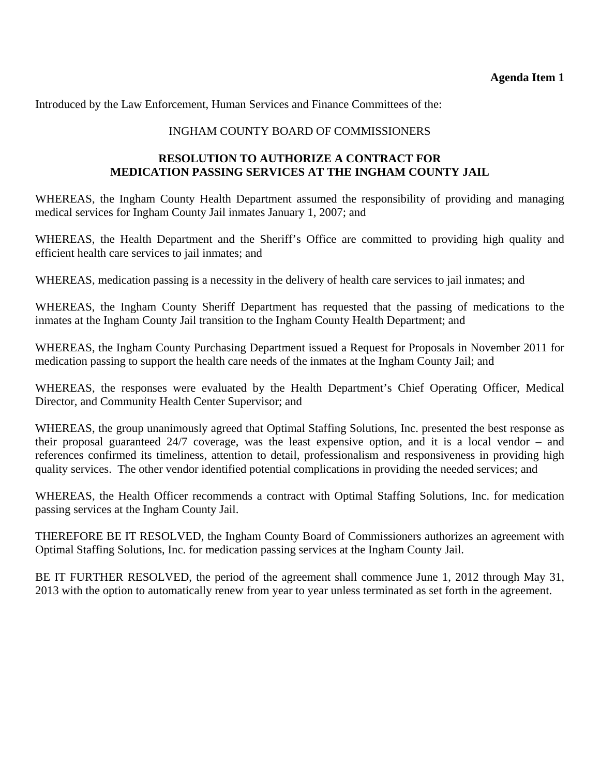Introduced by the Law Enforcement, Human Services and Finance Committees of the:

## INGHAM COUNTY BOARD OF COMMISSIONERS

## **RESOLUTION TO AUTHORIZE A CONTRACT FOR MEDICATION PASSING SERVICES AT THE INGHAM COUNTY JAIL**

WHEREAS, the Ingham County Health Department assumed the responsibility of providing and managing medical services for Ingham County Jail inmates January 1, 2007; and

WHEREAS, the Health Department and the Sheriff's Office are committed to providing high quality and efficient health care services to jail inmates; and

WHEREAS, medication passing is a necessity in the delivery of health care services to jail inmates; and

WHEREAS, the Ingham County Sheriff Department has requested that the passing of medications to the inmates at the Ingham County Jail transition to the Ingham County Health Department; and

WHEREAS, the Ingham County Purchasing Department issued a Request for Proposals in November 2011 for medication passing to support the health care needs of the inmates at the Ingham County Jail; and

WHEREAS, the responses were evaluated by the Health Department's Chief Operating Officer, Medical Director, and Community Health Center Supervisor; and

WHEREAS, the group unanimously agreed that Optimal Staffing Solutions, Inc. presented the best response as their proposal guaranteed 24/7 coverage, was the least expensive option, and it is a local vendor – and references confirmed its timeliness, attention to detail, professionalism and responsiveness in providing high quality services. The other vendor identified potential complications in providing the needed services; and

WHEREAS, the Health Officer recommends a contract with Optimal Staffing Solutions, Inc. for medication passing services at the Ingham County Jail.

THEREFORE BE IT RESOLVED, the Ingham County Board of Commissioners authorizes an agreement with Optimal Staffing Solutions, Inc. for medication passing services at the Ingham County Jail.

BE IT FURTHER RESOLVED, the period of the agreement shall commence June 1, 2012 through May 31, 2013 with the option to automatically renew from year to year unless terminated as set forth in the agreement.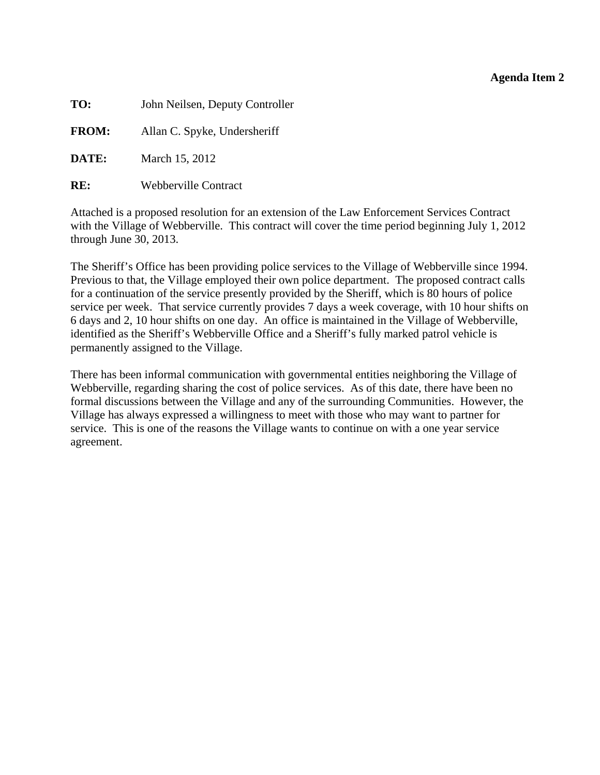#### **Agenda Item 2**

<span id="page-8-0"></span>

| John Neilsen, Deputy Controller |
|---------------------------------|
| Allan C. Spyke, Undersheriff    |
| March 15, 2012                  |
|                                 |

**RE:** Webberville Contract

Attached is a proposed resolution for an extension of the Law Enforcement Services Contract with the Village of Webberville. This contract will cover the time period beginning July 1, 2012 through June 30, 2013.

The Sheriff's Office has been providing police services to the Village of Webberville since 1994. Previous to that, the Village employed their own police department. The proposed contract calls for a continuation of the service presently provided by the Sheriff, which is 80 hours of police service per week. That service currently provides 7 days a week coverage, with 10 hour shifts on 6 days and 2, 10 hour shifts on one day. An office is maintained in the Village of Webberville, identified as the Sheriff's Webberville Office and a Sheriff's fully marked patrol vehicle is permanently assigned to the Village.

There has been informal communication with governmental entities neighboring the Village of Webberville, regarding sharing the cost of police services. As of this date, there have been no formal discussions between the Village and any of the surrounding Communities. However, the Village has always expressed a willingness to meet with those who may want to partner for service. This is one of the reasons the Village wants to continue on with a one year service agreement.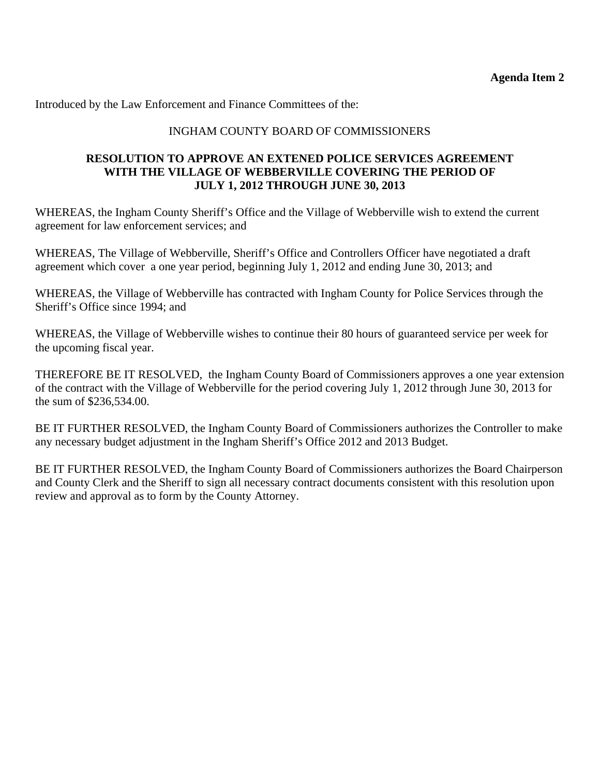Introduced by the Law Enforcement and Finance Committees of the:

## INGHAM COUNTY BOARD OF COMMISSIONERS

#### **RESOLUTION TO APPROVE AN EXTENED POLICE SERVICES AGREEMENT WITH THE VILLAGE OF WEBBERVILLE COVERING THE PERIOD OF JULY 1, 2012 THROUGH JUNE 30, 2013**

WHEREAS, the Ingham County Sheriff's Office and the Village of Webberville wish to extend the current agreement for law enforcement services; and

WHEREAS, The Village of Webberville, Sheriff's Office and Controllers Officer have negotiated a draft agreement which cover a one year period, beginning July 1, 2012 and ending June 30, 2013; and

WHEREAS, the Village of Webberville has contracted with Ingham County for Police Services through the Sheriff's Office since 1994; and

WHEREAS, the Village of Webberville wishes to continue their 80 hours of guaranteed service per week for the upcoming fiscal year.

THEREFORE BE IT RESOLVED, the Ingham County Board of Commissioners approves a one year extension of the contract with the Village of Webberville for the period covering July 1, 2012 through June 30, 2013 for the sum of \$236,534.00.

BE IT FURTHER RESOLVED, the Ingham County Board of Commissioners authorizes the Controller to make any necessary budget adjustment in the Ingham Sheriff's Office 2012 and 2013 Budget.

BE IT FURTHER RESOLVED, the Ingham County Board of Commissioners authorizes the Board Chairperson and County Clerk and the Sheriff to sign all necessary contract documents consistent with this resolution upon review and approval as to form by the County Attorney.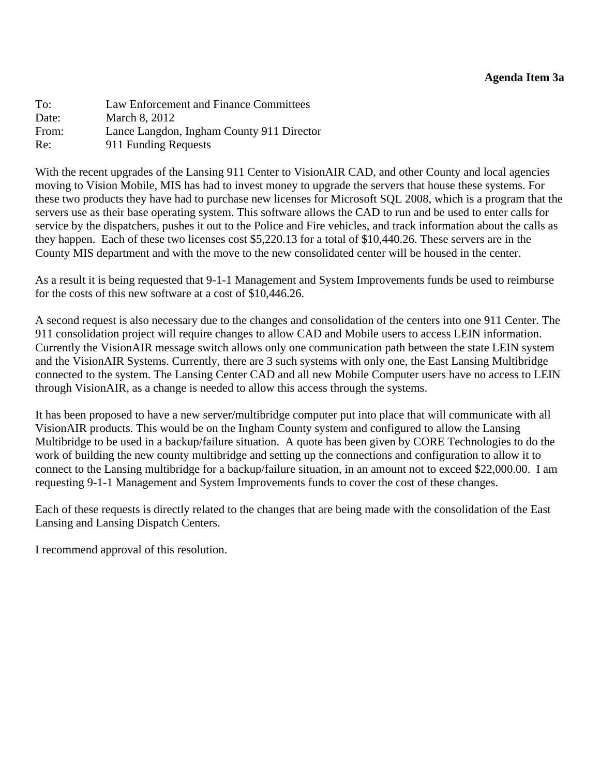<span id="page-10-0"></span>To: Law Enforcement and Finance Committees Date: March 8, 2012 From: Lance Langdon, Ingham County 911 Director Re: 911 Funding Requests

With the recent upgrades of the Lansing 911 Center to VisionAIR CAD, and other County and local agencies moving to Vision Mobile, MIS has had to invest money to upgrade the servers that house these systems. For these two products they have had to purchase new licenses for Microsoft SQL 2008, which is a program that the servers use as their base operating system. This software allows the CAD to run and be used to enter calls for service by the dispatchers, pushes it out to the Police and Fire vehicles, and track information about the calls as they happen. Each of these two licenses cost \$5,220.13 for a total of \$10,440.26. These servers are in the County MIS department and with the move to the new consolidated center will be housed in the center.

As a result it is being requested that 9-1-1 Management and System Improvements funds be used to reimburse for the costs of this new software at a cost of \$10,446.26.

A second request is also necessary due to the changes and consolidation of the centers into one 911 Center. The 911 consolidation project will require changes to allow CAD and Mobile users to access LEIN information. Currently the VisionAIR message switch allows only one communication path between the state LEIN system and the VisionAIR Systems. Currently, there are 3 such systems with only one, the East Lansing Multibridge connected to the system. The Lansing Center CAD and all new Mobile Computer users have no access to LEIN through VisionAIR, as a change is needed to allow this access through the systems.

It has been proposed to have a new server/multibridge computer put into place that will communicate with all VisionAIR products. This would be on the Ingham County system and configured to allow the Lansing Multibridge to be used in a backup/failure situation. A quote has been given by CORE Technologies to do the work of building the new county multibridge and setting up the connections and configuration to allow it to connect to the Lansing multibridge for a backup/failure situation, in an amount not to exceed \$22,000.00. I am requesting 9-1-1 Management and System Improvements funds to cover the cost of these changes.

Each of these requests is directly related to the changes that are being made with the consolidation of the East Lansing and Lansing Dispatch Centers.

I recommend approval of this resolution.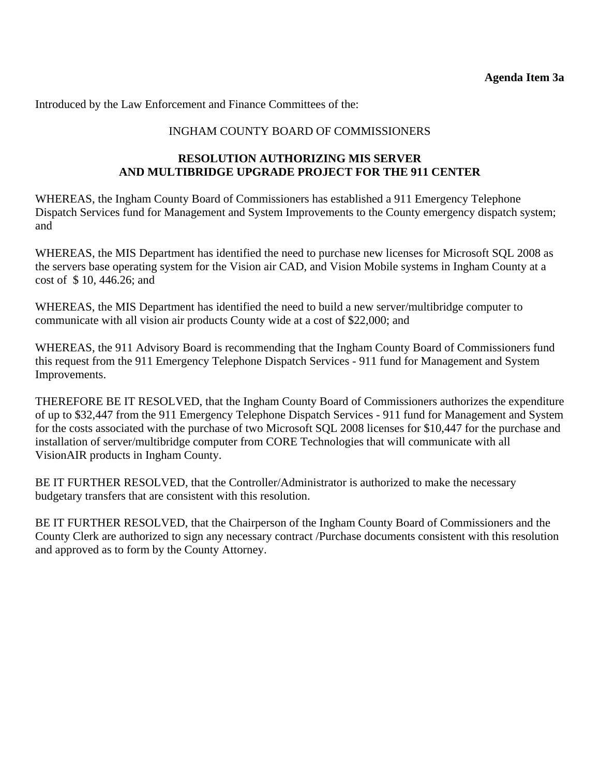Introduced by the Law Enforcement and Finance Committees of the:

## INGHAM COUNTY BOARD OF COMMISSIONERS

## **RESOLUTION AUTHORIZING MIS SERVER AND MULTIBRIDGE UPGRADE PROJECT FOR THE 911 CENTER**

WHEREAS, the Ingham County Board of Commissioners has established a 911 Emergency Telephone Dispatch Services fund for Management and System Improvements to the County emergency dispatch system; and

WHEREAS, the MIS Department has identified the need to purchase new licenses for Microsoft SQL 2008 as the servers base operating system for the Vision air CAD, and Vision Mobile systems in Ingham County at a cost of \$ 10, 446.26; and

WHEREAS, the MIS Department has identified the need to build a new server/multibridge computer to communicate with all vision air products County wide at a cost of \$22,000; and

WHEREAS, the 911 Advisory Board is recommending that the Ingham County Board of Commissioners fund this request from the 911 Emergency Telephone Dispatch Services - 911 fund for Management and System Improvements.

THEREFORE BE IT RESOLVED, that the Ingham County Board of Commissioners authorizes the expenditure of up to \$32,447 from the 911 Emergency Telephone Dispatch Services - 911 fund for Management and System for the costs associated with the purchase of two Microsoft SQL 2008 licenses for \$10,447 for the purchase and installation of server/multibridge computer from CORE Technologies that will communicate with all VisionAIR products in Ingham County.

BE IT FURTHER RESOLVED, that the Controller/Administrator is authorized to make the necessary budgetary transfers that are consistent with this resolution.

BE IT FURTHER RESOLVED, that the Chairperson of the Ingham County Board of Commissioners and the County Clerk are authorized to sign any necessary contract /Purchase documents consistent with this resolution and approved as to form by the County Attorney.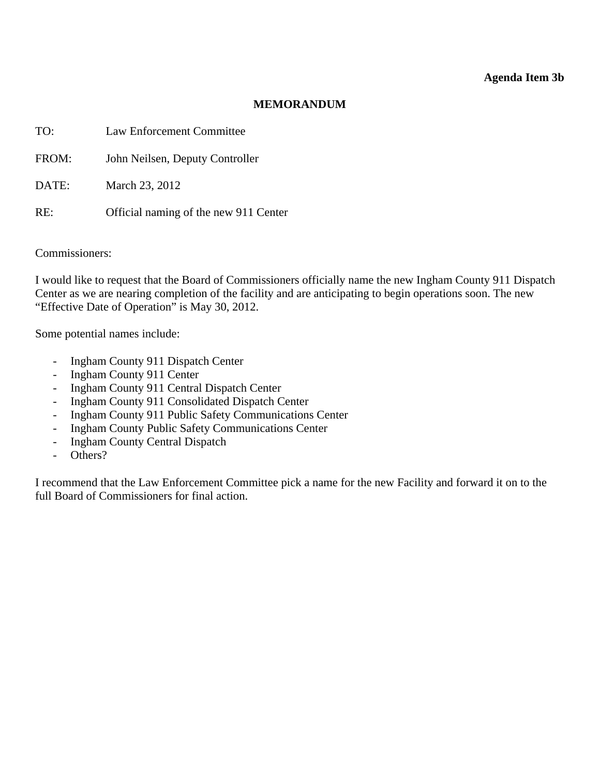#### **MEMORANDUM**

<span id="page-12-0"></span>

| TO:   | <b>Law Enforcement Committee</b>      |
|-------|---------------------------------------|
| FROM: | John Neilsen, Deputy Controller       |
| DATE: | March 23, 2012                        |
| RE:   | Official naming of the new 911 Center |

Commissioners:

I would like to request that the Board of Commissioners officially name the new Ingham County 911 Dispatch Center as we are nearing completion of the facility and are anticipating to begin operations soon. The new "Effective Date of Operation" is May 30, 2012.

Some potential names include:

- Ingham County 911 Dispatch Center
- Ingham County 911 Center
- Ingham County 911 Central Dispatch Center
- Ingham County 911 Consolidated Dispatch Center
- Ingham County 911 Public Safety Communications Center
- Ingham County Public Safety Communications Center
- Ingham County Central Dispatch
- Others?

I recommend that the Law Enforcement Committee pick a name for the new Facility and forward it on to the full Board of Commissioners for final action.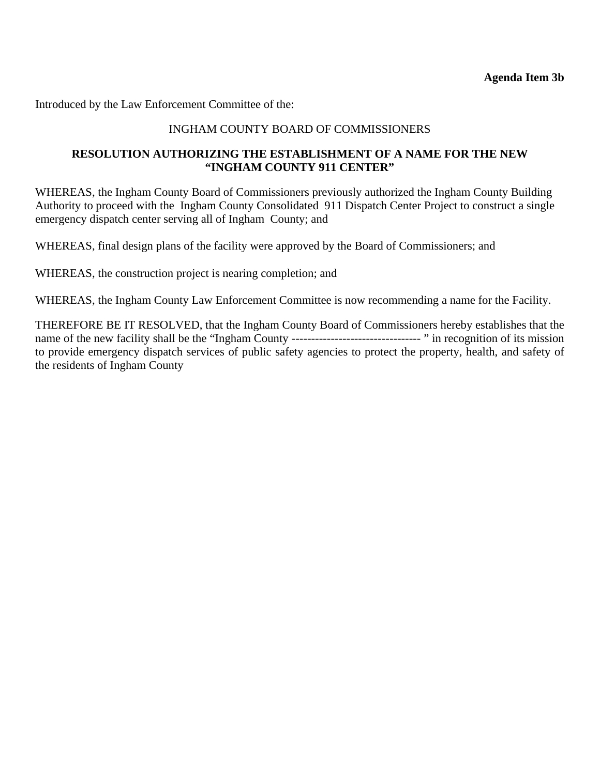Introduced by the Law Enforcement Committee of the:

### INGHAM COUNTY BOARD OF COMMISSIONERS

## **RESOLUTION AUTHORIZING THE ESTABLISHMENT OF A NAME FOR THE NEW "INGHAM COUNTY 911 CENTER"**

WHEREAS, the Ingham County Board of Commissioners previously authorized the Ingham County Building Authority to proceed with the Ingham County Consolidated 911 Dispatch Center Project to construct a single emergency dispatch center serving all of Ingham County; and

WHEREAS, final design plans of the facility were approved by the Board of Commissioners; and

WHEREAS, the construction project is nearing completion; and

WHEREAS, the Ingham County Law Enforcement Committee is now recommending a name for the Facility.

THEREFORE BE IT RESOLVED, that the Ingham County Board of Commissioners hereby establishes that the name of the new facility shall be the "Ingham County --------------------------------- " in recognition of its mission to provide emergency dispatch services of public safety agencies to protect the property, health, and safety of the residents of Ingham County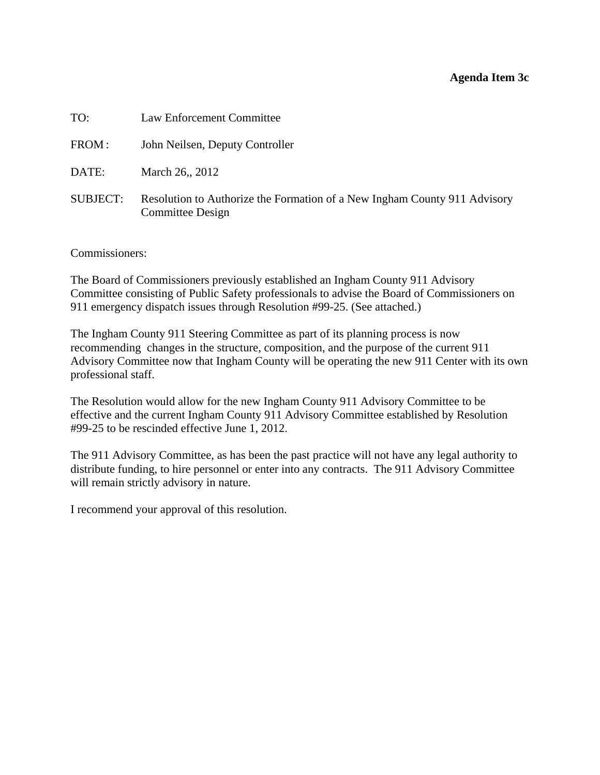#### **Agenda Item 3c**

<span id="page-14-0"></span>

| TO:             | Law Enforcement Committee                                                                            |
|-----------------|------------------------------------------------------------------------------------------------------|
| FROM:           | John Neilsen, Deputy Controller                                                                      |
| DATE:           | March 26, 2012                                                                                       |
| <b>SUBJECT:</b> | Resolution to Authorize the Formation of a New Ingham County 911 Advisory<br><b>Committee Design</b> |

Commissioners:

The Board of Commissioners previously established an Ingham County 911 Advisory Committee consisting of Public Safety professionals to advise the Board of Commissioners on 911 emergency dispatch issues through Resolution #99-25. (See attached.)

The Ingham County 911 Steering Committee as part of its planning process is now recommending changes in the structure, composition, and the purpose of the current 911 Advisory Committee now that Ingham County will be operating the new 911 Center with its own professional staff.

The Resolution would allow for the new Ingham County 911 Advisory Committee to be effective and the current Ingham County 911 Advisory Committee established by Resolution #99-25 to be rescinded effective June 1, 2012.

The 911 Advisory Committee, as has been the past practice will not have any legal authority to distribute funding, to hire personnel or enter into any contracts. The 911 Advisory Committee will remain strictly advisory in nature.

I recommend your approval of this resolution.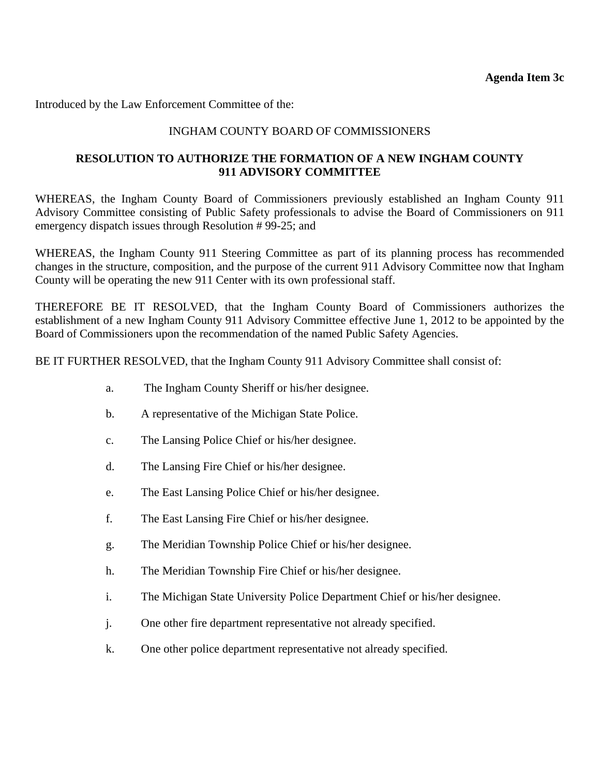Introduced by the Law Enforcement Committee of the:

## INGHAM COUNTY BOARD OF COMMISSIONERS

## **RESOLUTION TO AUTHORIZE THE FORMATION OF A NEW INGHAM COUNTY 911 ADVISORY COMMITTEE**

WHEREAS, the Ingham County Board of Commissioners previously established an Ingham County 911 Advisory Committee consisting of Public Safety professionals to advise the Board of Commissioners on 911 emergency dispatch issues through Resolution # 99-25; and

WHEREAS, the Ingham County 911 Steering Committee as part of its planning process has recommended changes in the structure, composition, and the purpose of the current 911 Advisory Committee now that Ingham County will be operating the new 911 Center with its own professional staff.

THEREFORE BE IT RESOLVED, that the Ingham County Board of Commissioners authorizes the establishment of a new Ingham County 911 Advisory Committee effective June 1, 2012 to be appointed by the Board of Commissioners upon the recommendation of the named Public Safety Agencies.

BE IT FURTHER RESOLVED, that the Ingham County 911 Advisory Committee shall consist of:

- a. The Ingham County Sheriff or his/her designee.
- b. A representative of the Michigan State Police.
- c. The Lansing Police Chief or his/her designee.
- d. The Lansing Fire Chief or his/her designee.
- e. The East Lansing Police Chief or his/her designee.
- f. The East Lansing Fire Chief or his/her designee.
- g. The Meridian Township Police Chief or his/her designee.
- h. The Meridian Township Fire Chief or his/her designee.
- i. The Michigan State University Police Department Chief or his/her designee.
- j. One other fire department representative not already specified.
- k. One other police department representative not already specified.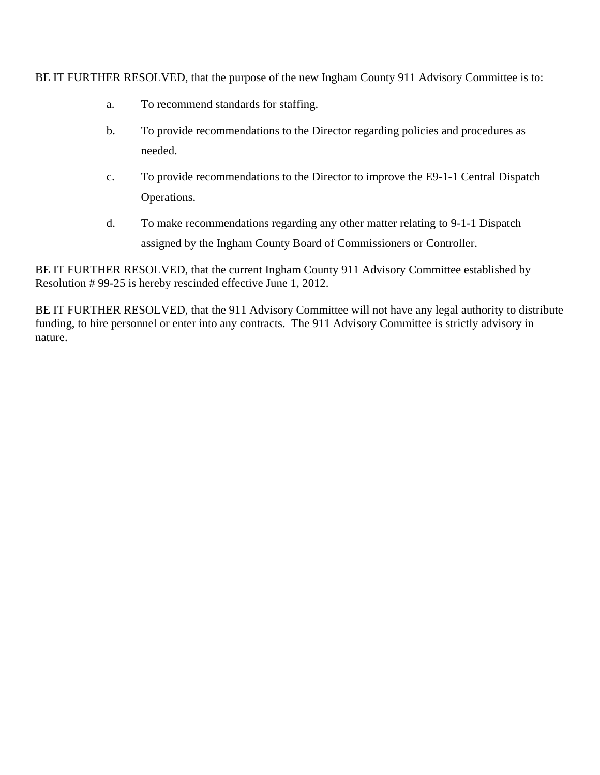BE IT FURTHER RESOLVED, that the purpose of the new Ingham County 911 Advisory Committee is to:

- a. To recommend standards for staffing.
- b. To provide recommendations to the Director regarding policies and procedures as needed.
- c. To provide recommendations to the Director to improve the E9-1-1 Central Dispatch Operations.
- d. To make recommendations regarding any other matter relating to 9-1-1 Dispatch assigned by the Ingham County Board of Commissioners or Controller.

BE IT FURTHER RESOLVED, that the current Ingham County 911 Advisory Committee established by Resolution # 99-25 is hereby rescinded effective June 1, 2012.

BE IT FURTHER RESOLVED, that the 911 Advisory Committee will not have any legal authority to distribute funding, to hire personnel or enter into any contracts. The 911 Advisory Committee is strictly advisory in nature.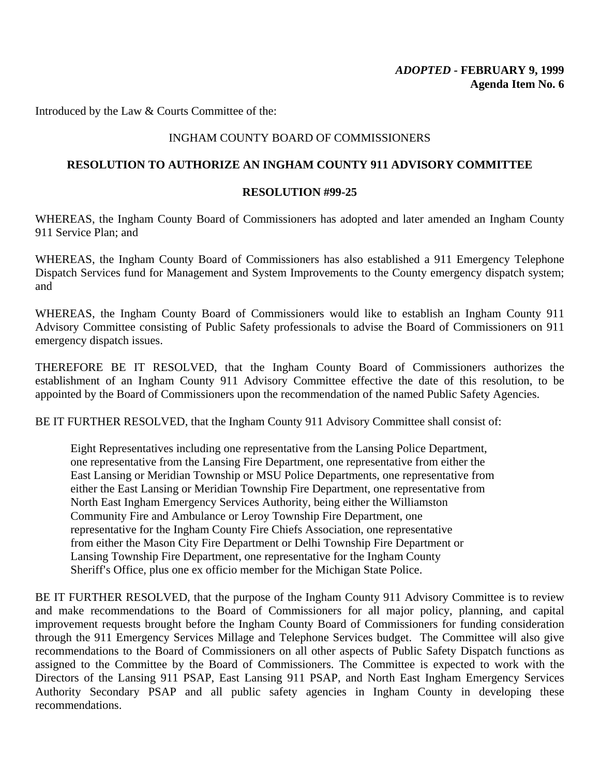Introduced by the Law & Courts Committee of the:

### INGHAM COUNTY BOARD OF COMMISSIONERS

#### **RESOLUTION TO AUTHORIZE AN INGHAM COUNTY 911 ADVISORY COMMITTEE**

#### **RESOLUTION #99-25**

WHEREAS, the Ingham County Board of Commissioners has adopted and later amended an Ingham County 911 Service Plan; and

WHEREAS, the Ingham County Board of Commissioners has also established a 911 Emergency Telephone Dispatch Services fund for Management and System Improvements to the County emergency dispatch system; and

WHEREAS, the Ingham County Board of Commissioners would like to establish an Ingham County 911 Advisory Committee consisting of Public Safety professionals to advise the Board of Commissioners on 911 emergency dispatch issues.

THEREFORE BE IT RESOLVED, that the Ingham County Board of Commissioners authorizes the establishment of an Ingham County 911 Advisory Committee effective the date of this resolution, to be appointed by the Board of Commissioners upon the recommendation of the named Public Safety Agencies.

BE IT FURTHER RESOLVED, that the Ingham County 911 Advisory Committee shall consist of:

Eight Representatives including one representative from the Lansing Police Department, one representative from the Lansing Fire Department, one representative from either the East Lansing or Meridian Township or MSU Police Departments, one representative from either the East Lansing or Meridian Township Fire Department, one representative from North East Ingham Emergency Services Authority, being either the Williamston Community Fire and Ambulance or Leroy Township Fire Department, one representative for the Ingham County Fire Chiefs Association, one representative from either the Mason City Fire Department or Delhi Township Fire Department or Lansing Township Fire Department, one representative for the Ingham County Sheriff's Office, plus one ex officio member for the Michigan State Police.

BE IT FURTHER RESOLVED, that the purpose of the Ingham County 911 Advisory Committee is to review and make recommendations to the Board of Commissioners for all major policy, planning, and capital improvement requests brought before the Ingham County Board of Commissioners for funding consideration through the 911 Emergency Services Millage and Telephone Services budget. The Committee will also give recommendations to the Board of Commissioners on all other aspects of Public Safety Dispatch functions as assigned to the Committee by the Board of Commissioners. The Committee is expected to work with the Directors of the Lansing 911 PSAP, East Lansing 911 PSAP, and North East Ingham Emergency Services Authority Secondary PSAP and all public safety agencies in Ingham County in developing these recommendations.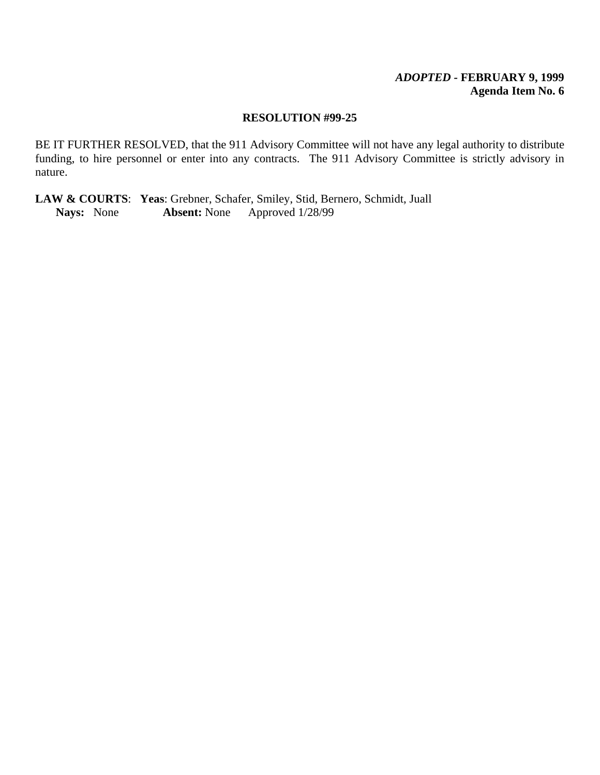#### *ADOPTED -* **FEBRUARY 9, 1999 Agenda Item No. 6**

#### **RESOLUTION #99-25**

BE IT FURTHER RESOLVED, that the 911 Advisory Committee will not have any legal authority to distribute funding, to hire personnel or enter into any contracts. The 911 Advisory Committee is strictly advisory in nature.

**LAW & COURTS:** Yeas: Grebner, Schafer, Smiley, Stid, Bernero, Schmidt, Juall Nays: None Absent: None Approved 1/28/99 **Nays:** None **Absent:** None Approved 1/28/99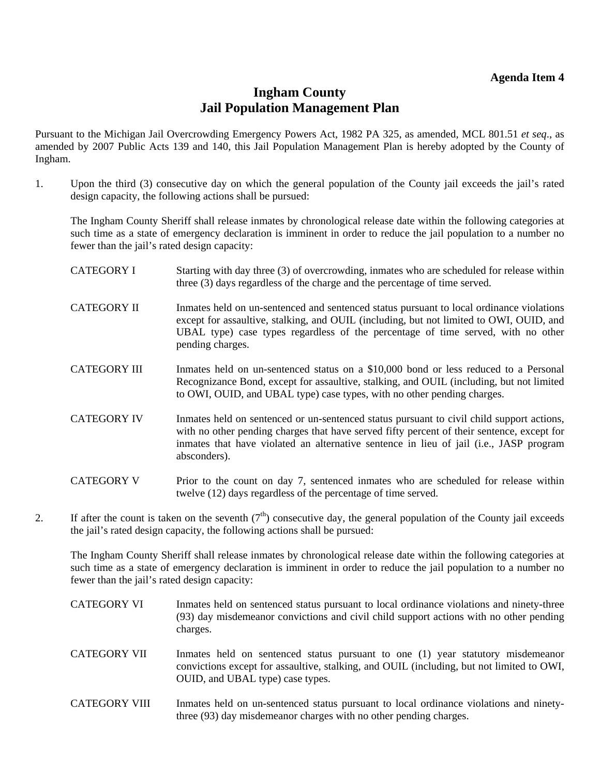#### **Agenda Item 4**

## **Ingham County Jail Population Management Plan**

<span id="page-19-0"></span>Pursuant to the Michigan Jail Overcrowding Emergency Powers Act, 1982 PA 325, as amended, MCL 801.51 *et seq*., as amended by 2007 Public Acts 139 and 140, this Jail Population Management Plan is hereby adopted by the County of Ingham.

1. Upon the third (3) consecutive day on which the general population of the County jail exceeds the jail's rated design capacity, the following actions shall be pursued:

The Ingham County Sheriff shall release inmates by chronological release date within the following categories at such time as a state of emergency declaration is imminent in order to reduce the jail population to a number no fewer than the jail's rated design capacity:

- CATEGORY I Starting with day three (3) of overcrowding, inmates who are scheduled for release within three (3) days regardless of the charge and the percentage of time served.
- CATEGORY II Immates held on un-sentenced and sentenced status pursuant to local ordinance violations except for assaultive, stalking, and OUIL (including, but not limited to OWI, OUID, and UBAL type) case types regardless of the percentage of time served, with no other pending charges.
- CATEGORY III Immates held on un-sentenced status on a \$10,000 bond or less reduced to a Personal Recognizance Bond, except for assaultive, stalking, and OUIL (including, but not limited to OWI, OUID, and UBAL type) case types, with no other pending charges.
- CATEGORY IV Inmates held on sentenced or un-sentenced status pursuant to civil child support actions, with no other pending charges that have served fifty percent of their sentence, except for inmates that have violated an alternative sentence in lieu of jail (i.e., JASP program absconders).
- CATEGORY V Prior to the count on day 7, sentenced inmates who are scheduled for release within twelve (12) days regardless of the percentage of time served.
- 2. If after the count is taken on the seventh  $(7<sup>th</sup>)$  consecutive day, the general population of the County jail exceeds the jail's rated design capacity, the following actions shall be pursued:

The Ingham County Sheriff shall release inmates by chronological release date within the following categories at such time as a state of emergency declaration is imminent in order to reduce the jail population to a number no fewer than the jail's rated design capacity:

- CATEGORY VI Inmates held on sentenced status pursuant to local ordinance violations and ninety-three (93) day misdemeanor convictions and civil child support actions with no other pending charges.
- CATEGORY VII Inmates held on sentenced status pursuant to one (1) year statutory misdemeanor convictions except for assaultive, stalking, and OUIL (including, but not limited to OWI, OUID, and UBAL type) case types.
- CATEGORY VIII Immates held on un-sentenced status pursuant to local ordinance violations and ninetythree (93) day misdemeanor charges with no other pending charges.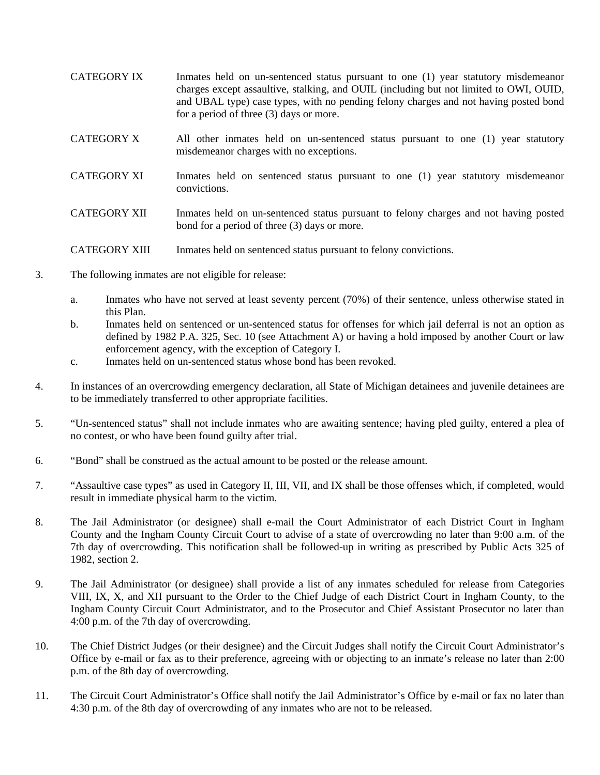CATEGORY IX Inmates held on un-sentenced status pursuant to one (1) year statutory misdemeanor charges except assaultive, stalking, and OUIL (including but not limited to OWI, OUID, and UBAL type) case types, with no pending felony charges and not having posted bond for a period of three (3) days or more. CATEGORY X All other inmates held on un-sentenced status pursuant to one (1) year statutory misdemeanor charges with no exceptions. CATEGORY XI Inmates held on sentenced status pursuant to one (1) year statutory misdemeanor convictions. CATEGORY XII Inmates held on un-sentenced status pursuant to felony charges and not having posted bond for a period of three (3) days or more.

#### CATEGORY XIII Inmates held on sentenced status pursuant to felony convictions.

- 3. The following inmates are not eligible for release:
	- a. Inmates who have not served at least seventy percent (70%) of their sentence, unless otherwise stated in this Plan.
	- b. Inmates held on sentenced or un-sentenced status for offenses for which jail deferral is not an option as defined by 1982 P.A. 325, Sec. 10 (see Attachment A) or having a hold imposed by another Court or law enforcement agency, with the exception of Category I.
	- c. Inmates held on un-sentenced status whose bond has been revoked.
- 4. In instances of an overcrowding emergency declaration, all State of Michigan detainees and juvenile detainees are to be immediately transferred to other appropriate facilities.
- 5. "Un-sentenced status" shall not include inmates who are awaiting sentence; having pled guilty, entered a plea of no contest, or who have been found guilty after trial.
- 6. "Bond" shall be construed as the actual amount to be posted or the release amount.
- 7. "Assaultive case types" as used in Category II, III, VII, and IX shall be those offenses which, if completed, would result in immediate physical harm to the victim.
- 8. The Jail Administrator (or designee) shall e-mail the Court Administrator of each District Court in Ingham County and the Ingham County Circuit Court to advise of a state of overcrowding no later than 9:00 a.m. of the 7th day of overcrowding. This notification shall be followed-up in writing as prescribed by Public Acts 325 of 1982, section 2.
- 9. The Jail Administrator (or designee) shall provide a list of any inmates scheduled for release from Categories VIII, IX, X, and XII pursuant to the Order to the Chief Judge of each District Court in Ingham County, to the Ingham County Circuit Court Administrator, and to the Prosecutor and Chief Assistant Prosecutor no later than 4:00 p.m. of the 7th day of overcrowding.
- 10. The Chief District Judges (or their designee) and the Circuit Judges shall notify the Circuit Court Administrator's Office by e-mail or fax as to their preference, agreeing with or objecting to an inmate's release no later than 2:00 p.m. of the 8th day of overcrowding.
- 11. The Circuit Court Administrator's Office shall notify the Jail Administrator's Office by e-mail or fax no later than 4:30 p.m. of the 8th day of overcrowding of any inmates who are not to be released.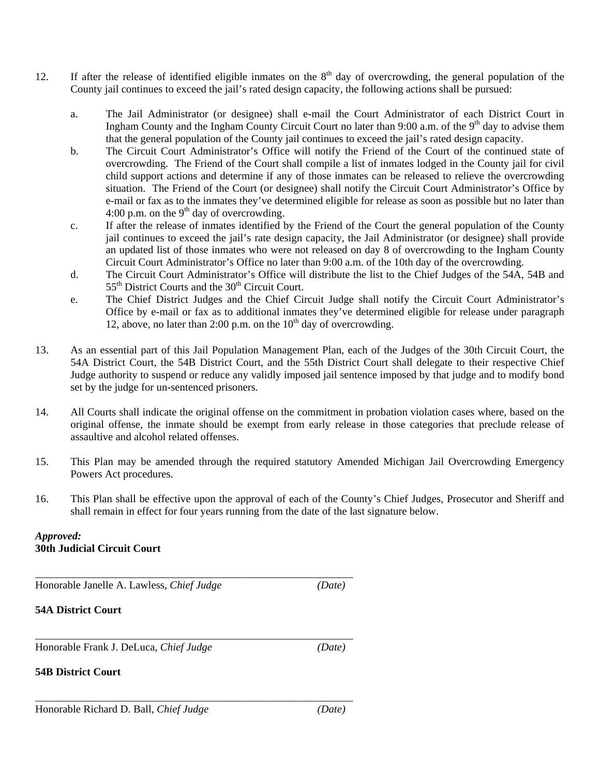- 12. If after the release of identified eligible inmates on the  $8<sup>th</sup>$  day of overcrowding, the general population of the County jail continues to exceed the jail's rated design capacity, the following actions shall be pursued:
	- a. The Jail Administrator (or designee) shall e-mail the Court Administrator of each District Court in Ingham County and the Ingham County Circuit Court no later than 9:00 a.m. of the 9<sup>th</sup> day to advise them that the general population of the County jail continues to exceed the jail's rated design capacity.
	- b. The Circuit Court Administrator's Office will notify the Friend of the Court of the continued state of overcrowding. The Friend of the Court shall compile a list of inmates lodged in the County jail for civil child support actions and determine if any of those inmates can be released to relieve the overcrowding situation. The Friend of the Court (or designee) shall notify the Circuit Court Administrator's Office by e-mail or fax as to the inmates they've determined eligible for release as soon as possible but no later than 4:00 p.m. on the  $9<sup>th</sup>$  day of overcrowding.
	- c. If after the release of inmates identified by the Friend of the Court the general population of the County jail continues to exceed the jail's rate design capacity, the Jail Administrator (or designee) shall provide an updated list of those inmates who were not released on day 8 of overcrowding to the Ingham County Circuit Court Administrator's Office no later than 9:00 a.m. of the 10th day of the overcrowding.
	- d. The Circuit Court Administrator's Office will distribute the list to the Chief Judges of the 54A, 54B and  $55<sup>th</sup>$  District Courts and the  $30<sup>th</sup>$  Circuit Court.
	- e. The Chief District Judges and the Chief Circuit Judge shall notify the Circuit Court Administrator's Office by e-mail or fax as to additional inmates they've determined eligible for release under paragraph 12, above, no later than 2:00 p.m. on the  $10<sup>th</sup>$  day of overcrowding.
- 13. As an essential part of this Jail Population Management Plan, each of the Judges of the 30th Circuit Court, the 54A District Court, the 54B District Court, and the 55th District Court shall delegate to their respective Chief Judge authority to suspend or reduce any validly imposed jail sentence imposed by that judge and to modify bond set by the judge for un-sentenced prisoners.
- 14. All Courts shall indicate the original offense on the commitment in probation violation cases where, based on the original offense, the inmate should be exempt from early release in those categories that preclude release of assaultive and alcohol related offenses.
- 15. This Plan may be amended through the required statutory Amended Michigan Jail Overcrowding Emergency Powers Act procedures.
- 16. This Plan shall be effective upon the approval of each of the County's Chief Judges, Prosecutor and Sheriff and shall remain in effect for four years running from the date of the last signature below.

#### *Approved:* **30th Judicial Circuit Court**

Honorable Janelle A. Lawless, *Chief Judge (Date)* 

\_\_\_\_\_\_\_\_\_\_\_\_\_\_\_\_\_\_\_\_\_\_\_\_\_\_\_\_\_\_\_\_\_\_\_\_\_\_\_\_\_\_\_\_\_\_\_\_\_\_\_\_\_\_\_\_\_\_\_

**54A District Court**

Honorable Frank J. DeLuca, *Chief Judge (Date)* 

\_\_\_\_\_\_\_\_\_\_\_\_\_\_\_\_\_\_\_\_\_\_\_\_\_\_\_\_\_\_\_\_\_\_\_\_\_\_\_\_\_\_\_\_\_\_\_\_\_\_\_\_\_\_\_\_\_\_\_

#### **54B District Court**

Honorable Richard D. Ball, *Chief Judge (Date)*